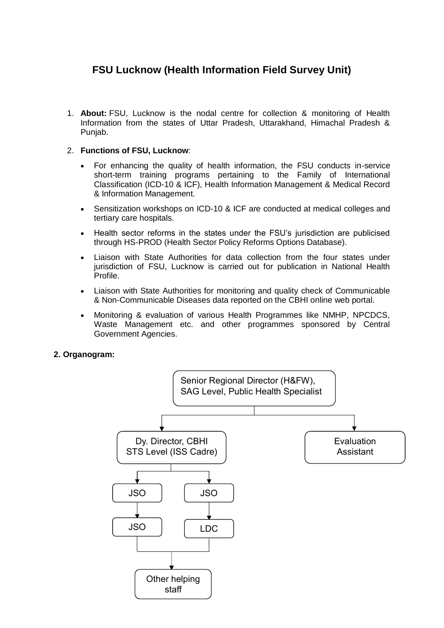# **FSU Lucknow (Health Information Field Survey Unit)**

1. **About:** FSU, Lucknow is the nodal centre for collection & monitoring of Health Information from the states of Uttar Pradesh, Uttarakhand, Himachal Pradesh & Punjab.

## 2. **Functions of FSU, Lucknow**:

- For enhancing the quality of health information, the FSU conducts in-service short-term training programs pertaining to the Family of International Classification (ICD-10 & ICF), Health Information Management & Medical Record & Information Management.
- Sensitization workshops on ICD-10 & ICF are conducted at medical colleges and tertiary care hospitals.
- Health sector reforms in the states under the FSU's jurisdiction are publicised through HS-PROD (Health Sector Policy Reforms Options Database).
- Liaison with State Authorities for data collection from the four states under jurisdiction of FSU, Lucknow is carried out for publication in National Health Profile.
- Liaison with State Authorities for monitoring and quality check of Communicable & Non-Communicable Diseases data reported on the CBHI online web portal.
- Monitoring & evaluation of various Health Programmes like NMHP, NPCDCS, Waste Management etc. and other programmes sponsored by Central Government Agencies.

## **2. Organogram:**